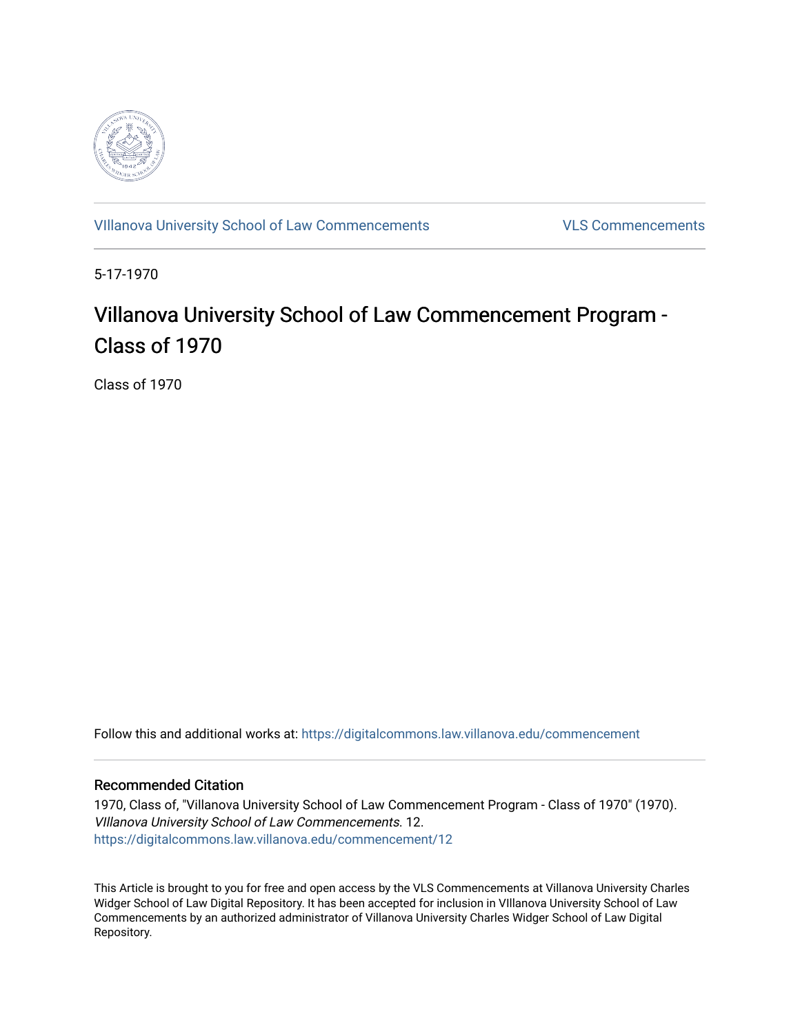

[VIllanova University School of Law Commencements](https://digitalcommons.law.villanova.edu/commencement) [VLS Commencements](https://digitalcommons.law.villanova.edu/vlscommencements) 

5-17-1970

## Villanova University School of Law Commencement Program -Class of 1970

Class of 1970

Follow this and additional works at: [https://digitalcommons.law.villanova.edu/commencement](https://digitalcommons.law.villanova.edu/commencement?utm_source=digitalcommons.law.villanova.edu%2Fcommencement%2F12&utm_medium=PDF&utm_campaign=PDFCoverPages)

#### Recommended Citation

1970, Class of, "Villanova University School of Law Commencement Program - Class of 1970" (1970). VIllanova University School of Law Commencements. 12. [https://digitalcommons.law.villanova.edu/commencement/12](https://digitalcommons.law.villanova.edu/commencement/12?utm_source=digitalcommons.law.villanova.edu%2Fcommencement%2F12&utm_medium=PDF&utm_campaign=PDFCoverPages) 

This Article is brought to you for free and open access by the VLS Commencements at Villanova University Charles Widger School of Law Digital Repository. It has been accepted for inclusion in VIllanova University School of Law Commencements by an authorized administrator of Villanova University Charles Widger School of Law Digital Repository.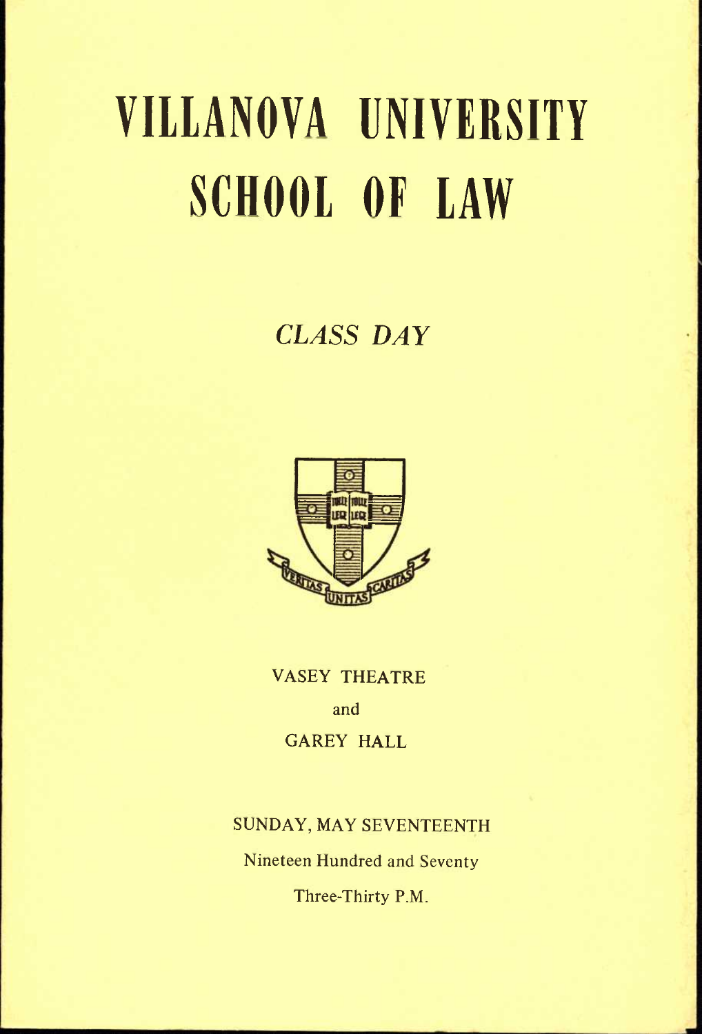# VIllANOVA UNIVERSITY SCHOOL OF lAW

## *CLASS DAY*



VASEY THEATRE and GAREY HALL

### SUNDAY, MAY SEVENTEENTH

Nineteen Hundred and Seventy

Three-Thirty P.M.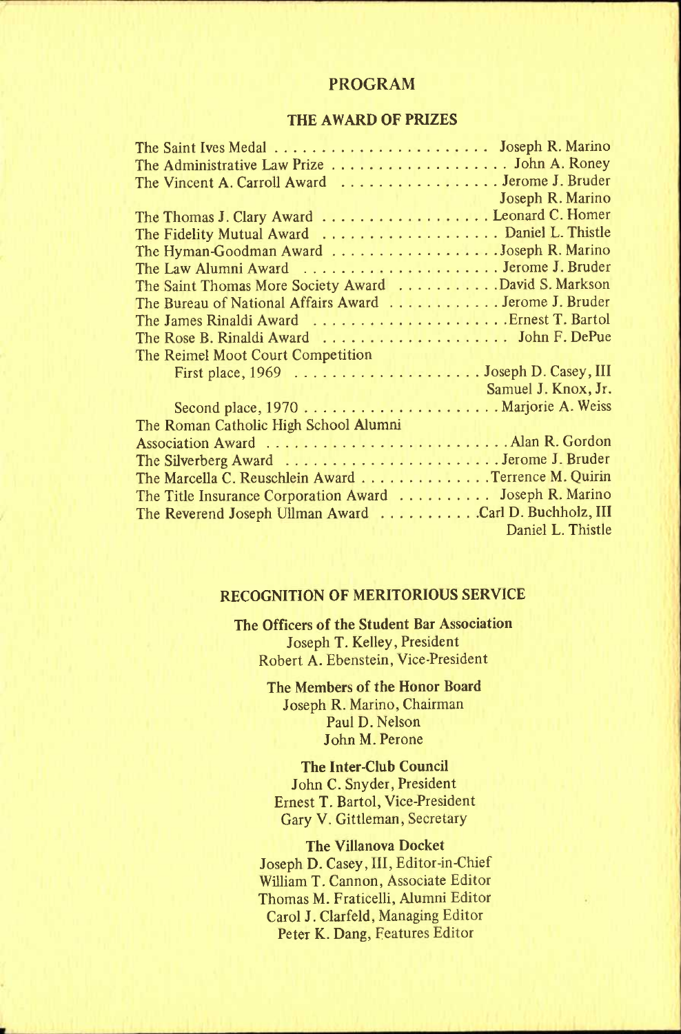#### PROGRAM

#### **THE AWARD OF PRIZES**

| The Administrative Law Prize John A. Roney                                    |                                   |
|-------------------------------------------------------------------------------|-----------------------------------|
| The Vincent A. Carroll Award Jerome J. Bruder                                 |                                   |
|                                                                               | <b>Example 3</b> Joseph R. Marino |
| The Thomas J. Clary Award Leonard C. Homer                                    |                                   |
| The Fidelity Mutual Award  Daniel L. Thistle                                  |                                   |
| The Hyman-Goodman Award Joseph R. Marino                                      |                                   |
| The Law Alumni Award  Jerome J. Bruder                                        |                                   |
| The Saint Thomas More Society Award David S. Markson                          |                                   |
| The Bureau of National Affairs Award  Jerome J. Bruder                        |                                   |
|                                                                               |                                   |
| The Rose B. Rinaldi Award $\dots \dots \dots \dots \dots \dots$ John F. DePue |                                   |
| The Reimel Moot Court Competition                                             |                                   |
|                                                                               |                                   |
|                                                                               | Samuel J. Knox, Jr.               |
|                                                                               |                                   |
| The Roman Catholic High School Alumni                                         |                                   |
|                                                                               |                                   |
| The Silverberg Award  Jerome J. Bruder                                        |                                   |
| The Marcella C. Reuschlein Award Terrence M. Quirin                           |                                   |
| The Title Insurance Corporation Award  Joseph R. Marino                       |                                   |
| The Reverend Joseph Ullman Award Carl D. Buchholz, III                        |                                   |
|                                                                               | Daniel L. Thistle                 |

#### **RECOGNITION OF MERITORIOUS SERVICE**

**The Officers of the Student Bar Association**  Joseph T. Kelley, President Robert A. Ebenstein, Vice-President

> **The Members of the Honor Board**  Joseph R. Marino, Chairman Paul D. Nelson John M. Perone

**The Inter-Club Council**  John C. Snyder, President Ernest T. Bartol, Vice-President Gary V. Gittleman, Secretary

**The Villanova Docket**  Joseph D. Casey, **III,** Editor-in-Chief William T. Cannon, Associate Editor Thomas M. Fraticelli, Alumni Editor Carol J. Clarfeld, Managing Editor

Peter K. Dang, Features Editor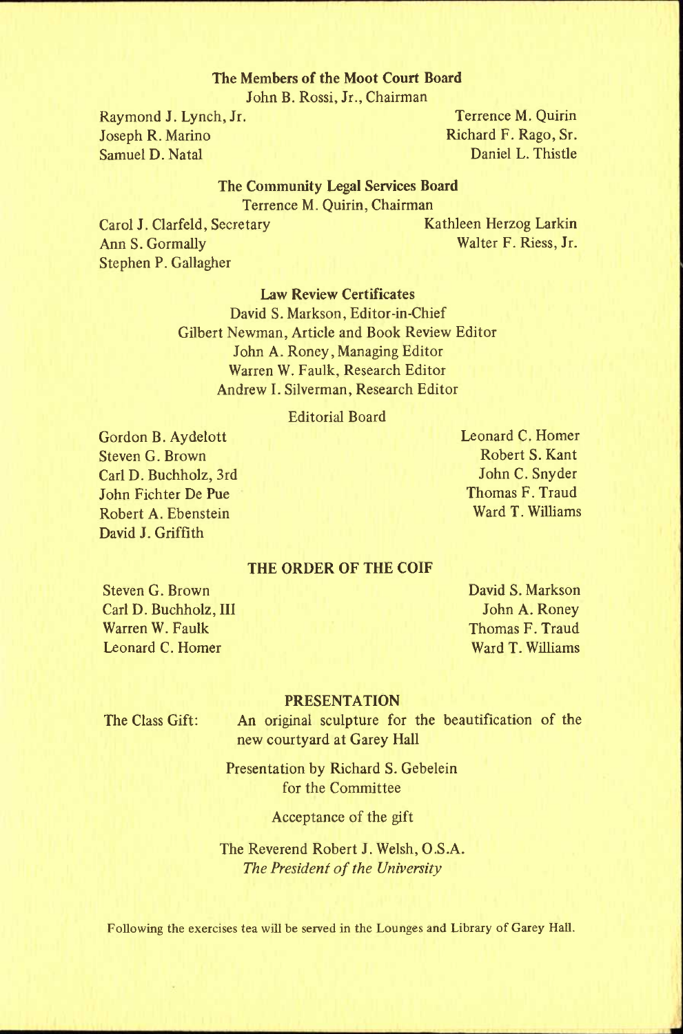#### **The Members of the Moot Court Board**

John B. Rossi, Jr., Chairman

Joseph R. Marino **Richard F. Rago, Sr. (2014)**<br>
Samuel D. Natal **Richard F. Rago, Sr. (2014)** Samuel D. Natal

Raymond J. Lynch, Jr. Terrence M. Quirin

#### **The Community Legal Services Board**

Terrence M. Quirin, Chairman

Ann S. Gormally Walter F. Riess, Jr. Stephen P. Gallagher

Carol J. Clarfeld, Secretary Kathleen Herzog Larkin

#### **Law Review Certificates**

David S. Markson, Editor-in-Chief Gilbert Newman, Article and Book Review Editor John A. Roney, Managing Editor Warren W. Faulk, Research Editor Andrew L Silverman, Research Editor

#### Editorial Board

Gordon B. Aydelott Steven G. Brown Carl D. Buchholz, 3rd John Fichter De Pue Robert A. Ebenstein David J. Griffith

Leonard C. Homer Robert S. Kant John C. Snyder Thomas F. Traud Ward T. Williams

#### **THE ORDER OF THE COIF**

Steven G. Brown Carl D. Buchholz, III Warren W. Faulk Leonard C. Homer

David S. Markson John A. Roney Thomas F. Traud Ward T. Williams

#### PRESENTATION

The Class Gift: An original sculpture for the beautification of the new courtyard at Garey Hall

> Presentation by Richard S. Gebelein for the Committee

> > Acceptance of the gift

The Reverend Robert J. Welsh, O.S.A. *The President of the University* 

**Following the exercises tea will be served in the Lounges and Library of Garey Hall.**